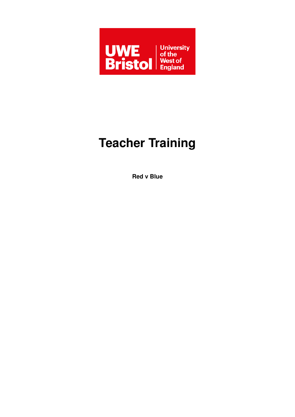

# **Teacher Training**

**Red v Blue**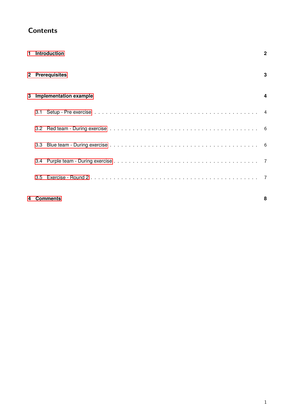| <b>Contents</b> |
|-----------------|
|-----------------|

|                                    |     | 1 Introduction  | $\mathbf{2}$ |
|------------------------------------|-----|-----------------|--------------|
|                                    |     | 2 Prerequisites | 3            |
| <b>Implementation example</b><br>3 |     | 4               |              |
|                                    | 3.1 |                 |              |
|                                    |     |                 |              |
|                                    |     |                 |              |
|                                    |     |                 |              |
|                                    | 3.5 |                 |              |
|                                    |     |                 |              |

## **[4 Comments](#page-8-0) 8**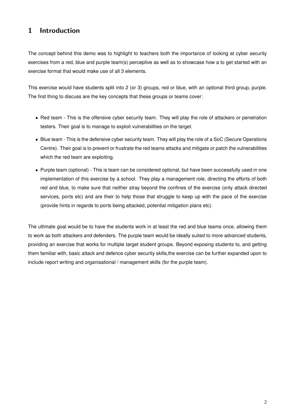# <span id="page-2-0"></span>1 Introduction

The concept behind this demo was to highlight to teachers both the importance of looking at cyber security exercises from a red, blue and purple team(s) perceptive as well as to showcase how a to get started with an exercise format that would make use of all 3 elements.

This exercise would have students split into 2 (or 3) groups, red or blue, with an optional third group, purple. The first thing to discuss are the key concepts that these groups or teams cover:

- Red team This is the offensive cyber security team. They will play the role of attackers or penetration testers. Their goal is to manage to exploit vulnerabilities on the target.
- Blue team This is the defensive cyber security team. They will play the role of a SoC (Secure Operations Centre). Their goal is to prevent or frustrate the red teams attacks and mitigate or patch the vulnerabilities which the red team are exploiting.
- Purple team (optional) This is team can be considered optional, but have been successfully used in one implementation of this exercise by a school. They play a management role, directing the efforts of both red and blue, to make sure that neither stray beyond the confines of the exercise (only attack directed services, ports etc) and are their to help those that struggle to keep up with the pace of the exercise (provide hints in regards to ports being attacked, potential mitigation plans etc).

The ultimate goal would be to have the students work in at least the red and blue teams once, allowing them to work as both attackers and defenders. The purple team would be ideally suited to more advanced students, providing an exercise that works for multiple target student groups. Beyond exposing students to, and getting them familiar with, basic attack and defence cyber security skills,the exercise can be further expanded upon to include report writing and organisational / management skills (for the purple team).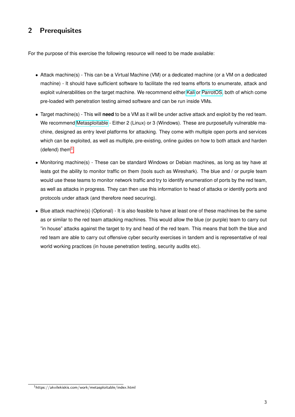# <span id="page-3-0"></span>2 Prerequisites

For the purpose of this exercise the following resource will need to be made available:

- Attack machine(s) This can be a Virtual Machine (VM) or a dedicated machine (or a VM on a dedicated machine) - It should have sufficient software to facilitate the red teams efforts to enumerate, attack and exploit vulnerabilities on the target machine. We recommend either [Kali](https://www.kali.org/get-kali/#kali-virtual-machines) or [ParrotOS,](https://www.parrotsec.org/download/) both of which come pre-loaded with penetration testing aimed software and can be run inside VMs.
- Target machine(s) This will **need** to be a VM as it will be under active attack and exploit by the red team. We recommend [Metasploitable](https://information.rapid7.com/download-metasploitable-2017.html) - Either 2 (Linux) or 3 (Windows). These are purposefully vulnerable machine, designed as entry level platforms for attacking. They come with multiple open ports and services which can be exploited, as well as multiple, pre-existing, online guides on how to both attack and harden (defend) them $1$
- Monitoring machine(s) These can be standard Windows or Debian machines, as long as tey have at leats got the ability to monitor traffic on them (tools such as Wireshark). The blue and / or purple team would use these teams to monitor network traffic and try to identify enumeration of ports by the red team, as well as attacks in progress. They can then use this information to head of attacks or identify ports and protocols under attack (and therefore need securing).
- Blue attack machine(s) (Optional) It is also feasible to have at least one of these machines be the same as or similar to the red team attacking machines. This would allow the blue (or purple) team to carry out "in house" attacks against the target to try and head of the red team. This means that both the blue and red team are able to carry out offensive cyber security exercises in tandem and is representative of real world working practices (in house penetration testing, security audits etc).

<span id="page-3-1"></span><sup>1</sup>https://akvilekiskis.com/work/metasploitable/index.html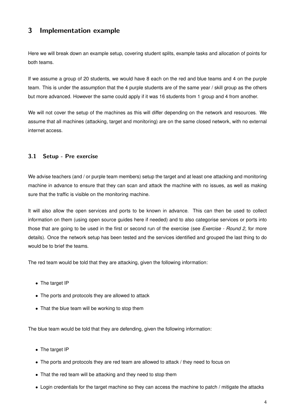## <span id="page-4-0"></span>3 Implementation example

Here we will break down an example setup, covering student splits, example tasks and allocation of points for both teams.

If we assume a group of 20 students, we would have 8 each on the red and blue teams and 4 on the purple team. This is under the assumption that the 4 purple students are of the same year / skill group as the others but more advanced. However the same could apply if it was 16 students from 1 group and 4 from another.

We will not cover the setup of the machines as this will differ depending on the network and resources. We assume that all machines (attacking, target and monitoring) are on the same closed network, with no external internet access.

## <span id="page-4-1"></span>3.1 Setup - Pre exercise

We advise teachers (and / or purple team members) setup the target and at least one attacking and monitoring machine in advance to ensure that they can scan and attack the machine with no issues, as well as making sure that the traffic is visible on the monitoring machine.

It will also allow the open services and ports to be known in advance. This can then be used to collect information on them (using open source guides here if needed) and to also categorise services or ports into those that are going to be used in the first or second run of the exercise (see *Exercise - Round 2*, for more details). Once the network setup has been tested and the services identified and grouped the last thing to do would be to brief the teams.

The red team would be told that they are attacking, given the following information:

- The target IP
- The ports and protocols they are allowed to attack
- That the blue team will be working to stop them

The blue team would be told that they are defending, given the following information:

- The target IP
- The ports and protocols they are red team are allowed to attack / they need to focus on
- That the red team will be attacking and they need to stop them
- Login credentials for the target machine so they can access the machine to patch / mitigate the attacks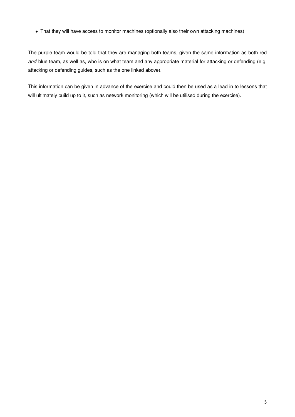• That they will have access to monitor machines (optionally also their own attacking machines)

The purple team would be told that they are managing both teams, given the same information as both red *and* blue team, as well as, who is on what team and any appropriate material for attacking or defending (e.g. attacking or defending guides, such as the one linked above).

This information can be given in advance of the exercise and could then be used as a lead in to lessons that will ultimately build up to it, such as network monitoring (which will be utilised during the exercise).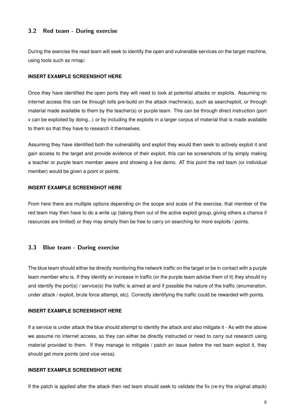#### <span id="page-6-0"></span>3.2 Red team - During exercise

During the exercise the read team will seek to identify the open and vulnerable services on the target machine, using tools such as nmap:

#### **INSERT EXAMPLE SCREENSHOT HERE**

Once they have identified the open ports they will need to look at potential attacks or exploits. Assuming no internet access this can be through tolls pre-build on the attack machine(s), such as searchsploit, or through material made available to them by the teacher(s) or purple team. This can be through direct instruction (port x can be exploited by doing...) or by including the exploits in a larger corpus of material that is made available to them so that they have to research it themselves.

Assuming they have identified both the vulnerability and exploit they would then seek to actively exploit it and gain access to the target and provide evidence of their exploit, this can be screenshots of by simply making a teacher or purple team member aware and showing a live demo. AT this point the red team (or individual member) would be given a point or points.

#### **INSERT EXAMPLE SCREENSHOT HERE**

From here there are multiple options depending on the scope and scale of the exercise, that member of the red team may then have to do a write up (taking them out of the active exploit group, giving others a chance if resources are limited) or they may simply then be free to carry on searching for more exploits / points.

#### <span id="page-6-1"></span>3.3 Blue team - During exercise

The blue team should either be directly monitoring the network traffic on the target or be in contact with a purple team member who is. If they identify an increase in traffic (or the purple team advise them of it) they should try and identify the port(s) / service(s) the traffic is aimed at and if possible the nature of the traffic (enumeration, under attack / exploit, brute force attempt, etc). Correctly identifying the traffic could be rewarded with points.

#### **INSERT EXAMPLE SCREENSHOT HERE**

If a service is under attack the blue should attempt to identify the attack and also mitigate it - As with the above we assume no internet access, so they can either be directly instructed or need to carry out research using material provided to them. If they manage to mitigate / patch an issue *before* the red team exploit it, they should get more points (and vice versa).

#### **INSERT EXAMPLE SCREENSHOT HERE**

If the patch is applied after the attack then red team should seek to validate the fix (re-try the original attack)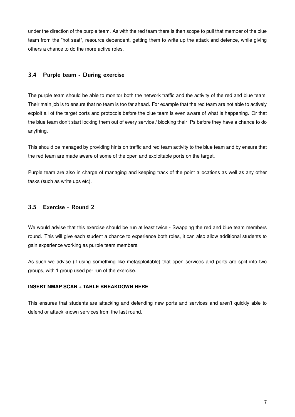under the direction of the purple team. As with the red team there is then scope to pull that member of the blue team from the "hot seat", resource dependent, getting them to write up the attack and defence, while giving others a chance to do the more active roles.

#### <span id="page-7-0"></span>3.4 Purple team - During exercise

The purple team should be able to monitor both the network traffic and the activity of the red and blue team. Their main job is to ensure that no team is too far ahead. For example that the red team are not able to actively exploit all of the target ports and protocols before the blue team is even aware of what is happening. Or that the blue team don't start locking them out of every service / blocking their IPs before they have a chance to do anything.

This should be managed by providing hints on traffic and red team activity to the blue team and by ensure that the red team are made aware of some of the open and exploitable ports on the target.

Purple team are also in charge of managing and keeping track of the point allocations as well as any other tasks (such as write ups etc).

### <span id="page-7-1"></span>3.5 Exercise - Round 2

We would advise that this exercise should be run at least twice - Swapping the red and blue team members round. This will give each student a chance to experience both roles, it can also allow additional students to gain experience working as purple team members.

As such we advise (if using something like metasploitable) that open services and ports are split into two groups, with 1 group used per run of the exercise.

#### **INSERT NMAP SCAN + TABLE BREAKDOWN HERE**

This ensures that students are attacking and defending new ports and services and aren't quickly able to defend or attack known services from the last round.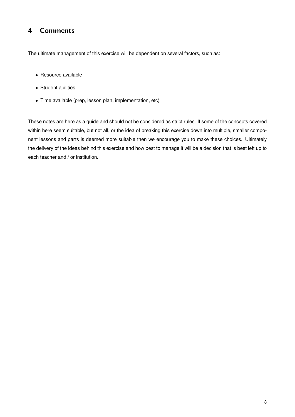# <span id="page-8-0"></span>4 Comments

The ultimate management of this exercise will be dependent on several factors, such as:

- Resource available
- Student abilities
- Time available (prep, lesson plan, implementation, etc)

These notes are here as a guide and should not be considered as strict rules. If some of the concepts covered within here seem suitable, but not all, or the idea of breaking this exercise down into multiple, smaller component lessons and parts is deemed more suitable then we encourage you to make these choices. Ultimately the delivery of the ideas behind this exercise and how best to manage it will be a decision that is best left up to each teacher and / or institution.